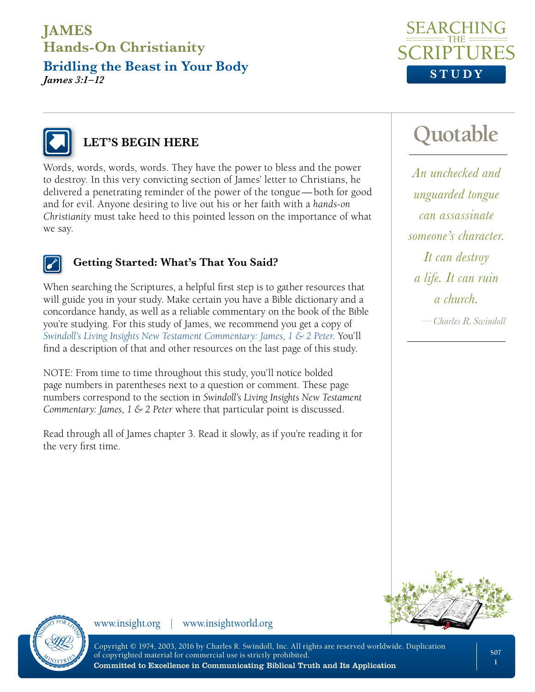**Bridling the Beast in Your Body** *James 3:1–12*





### **LET'S BEGIN HERE**

Words, words, words, words. They have the power to bless and the power to destroy. In this very convicting section of James' letter to Christians, he delivered a penetrating reminder of the power of the tongue—both for good and for evil. Anyone desiring to live out his or her faith with a *hands-on Christianity* must take heed to this pointed lesson on the importance of what we say.



#### **Getting Started: What's That You Said?**

When searching the Scriptures, a helpful first step is to gather resources that will guide you in your study. Make certain you have a Bible dictionary and a concordance handy, as well as a reliable commentary on the book of the Bible you're studying. For this study of James, we recommend you get a copy of *[Swindoll's Living Insights New Testament Commentary: James, 1 & 2 Peter](https://store.insight.org/p-1260-swindolls-living-insights-new-testament-commentary-james-1-2-peter-emby-charles-r-swindollem.aspx)*. You'll find a description of that and other resources on the last page of this study.

NOTE: From time to time throughout this study, you'll notice bolded page numbers in parentheses next to a question or comment. These page numbers correspond to the section in *Swindoll's Living Insights New Testament Commentary: James, 1 & 2 Peter* where that particular point is discussed.

Read through all of James chapter 3. Read it slowly, as if you're reading it for the very first time.

# **Quotable**

*An unchecked and unguarded tongue can assassinate someone's character. It can destroy a life. It can ruin a church.*

*—Charles R. Swindoll*



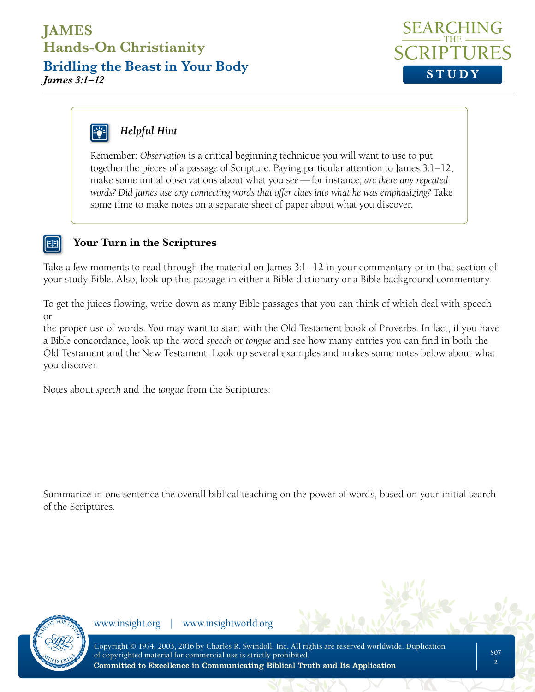**Bridling the Beast in Your Body** *James 3:1–12* **STUDY** 



# *Helpful Hint*

Remember: *Observation* is a critical beginning technique you will want to use to put together the pieces of a passage of Scripture. Paying particular attention to James 3:1–12, make some initial observations about what you see—for instance, *are there any repeated words? Did James use any connecting words that offer clues into what he was emphasizing?* Take some time to make notes on a separate sheet of paper about what you discover.

#### **Your Turn in the Scriptures**

Take a few moments to read through the material on James 3:1–12 in your commentary or in that section of your study Bible. Also, look up this passage in either a Bible dictionary or a Bible background commentary.

To get the juices flowing, write down as many Bible passages that you can think of which deal with speech or

the proper use of words. You may want to start with the Old Testament book of Proverbs. In fact, if you have a Bible concordance, look up the word *speech* or *tongue* and see how many entries you can find in both the Old Testament and the New Testament. Look up several examples and makes some notes below about what you discover.

Notes about *speech* and the *tongue* from the Scriptures:

Summarize in one sentence the overall biblical teaching on the power of words, based on your initial search of the Scriptures.

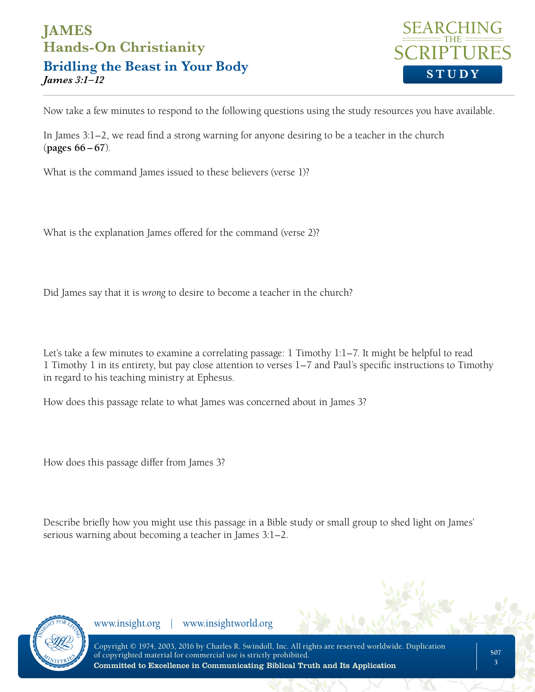### **JAMES Hands-On Christianity Bridling the Beast in Your Body** *James 3:1–12* **STUDY**



Now take a few minutes to respond to the following questions using the study resources you have available.

In James 3:1–2, we read find a strong warning for anyone desiring to be a teacher in the church (**pages 66 – 67**).

What is the command James issued to these believers (verse 1)?

What is the explanation James offered for the command (verse 2)?

Did James say that it is *wrong* to desire to become a teacher in the church?

Let's take a few minutes to examine a correlating passage: 1 Timothy 1:1–7. It might be helpful to read 1 Timothy 1 in its entirety, but pay close attention to verses 1–7 and Paul's specific instructions to Timothy in regard to his teaching ministry at Ephesus.

How does this passage relate to what James was concerned about in James 3?

How does this passage differ from James 3?

Describe briefly how you might use this passage in a Bible study or small group to shed light on James' serious warning about becoming a teacher in James 3:1–2.

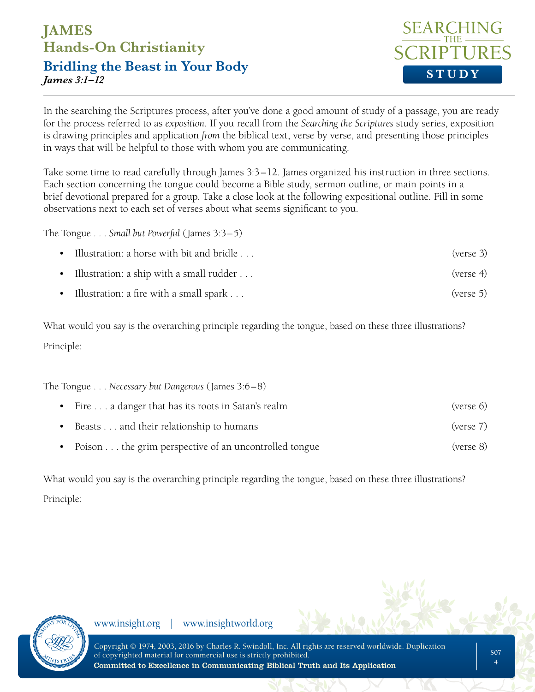**Bridling the Beast in Your Body** *James 3:1–12* **STUDY** 



In the searching the Scriptures process, after you've done a good amount of study of a passage, you are ready for the process referred to as *exposition*. If you recall from the *Searching the Scriptures* study series, exposition is drawing principles and application *from* the biblical text, verse by verse, and presenting those principles in ways that will be helpful to those with whom you are communicating.

Take some time to read carefully through James 3:3–12. James organized his instruction in three sections. Each section concerning the tongue could become a Bible study, sermon outline, or main points in a brief devotional prepared for a group. Take a close look at the following expositional outline. Fill in some observations next to each set of verses about what seems significant to you.

The Tongue . . . *Small but Powerful* (James 3:3–5)

- Illustration: a horse with bit and bridle . . .  $($  (verse 3)
- Illustration: a ship with a small rudder . . .
- Illustration: a fire with a small spark . . .

What would you say is the overarching principle regarding the tongue, based on these three illustrations? Principle:

The Tongue . . . *Necessary but Dangerous* (James 3:6–8) • Fire . . . a danger that has its roots in Satan's realm (verse 6)

- **•** Beasts . . . and their relationship to humans (verse 7)
- Poison . . . the grim perspective of an uncontrolled tongue (verse 8)

What would you say is the overarching principle regarding the tongue, based on these three illustrations? Principle:

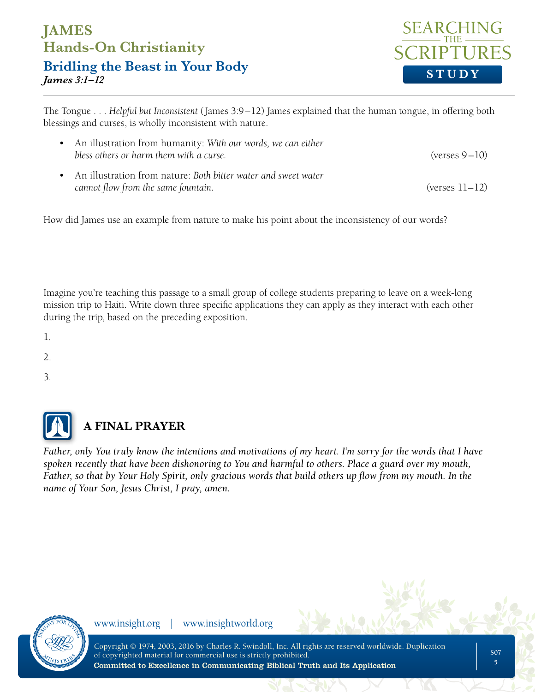**Bridling the Beast in Your Body** *James 3:1–12* **STUDY** 



The Tongue . . . *Helpful but Inconsistent* (James 3:9–12) James explained that the human tongue, in offering both blessings and curses, is wholly inconsistent with nature.

| • An illustration from humanity: With our words, we can either<br>bless others or harm them with a curse. | $(yerses 9-10)$  |
|-----------------------------------------------------------------------------------------------------------|------------------|
| • An illustration from nature: Both bitter water and sweet water<br>cannot flow from the same fountain.   | $(verses 11-12)$ |

How did James use an example from nature to make his point about the inconsistency of our words?

Imagine you're teaching this passage to a small group of college students preparing to leave on a week-long mission trip to Haiti. Write down three specific applications they can apply as they interact with each other during the trip, based on the preceding exposition.

1.

2.

3.



## **A FINAL PRAYER**

*Father, only You truly know the intentions and motivations of my heart. I'm sorry for the words that I have spoken recently that have been dishonoring to You and harmful to others. Place a guard over my mouth, Father, so that by Your Holy Spirit, only gracious words that build others up flow from my mouth. In the name of Your Son, Jesus Christ, I pray, amen.*